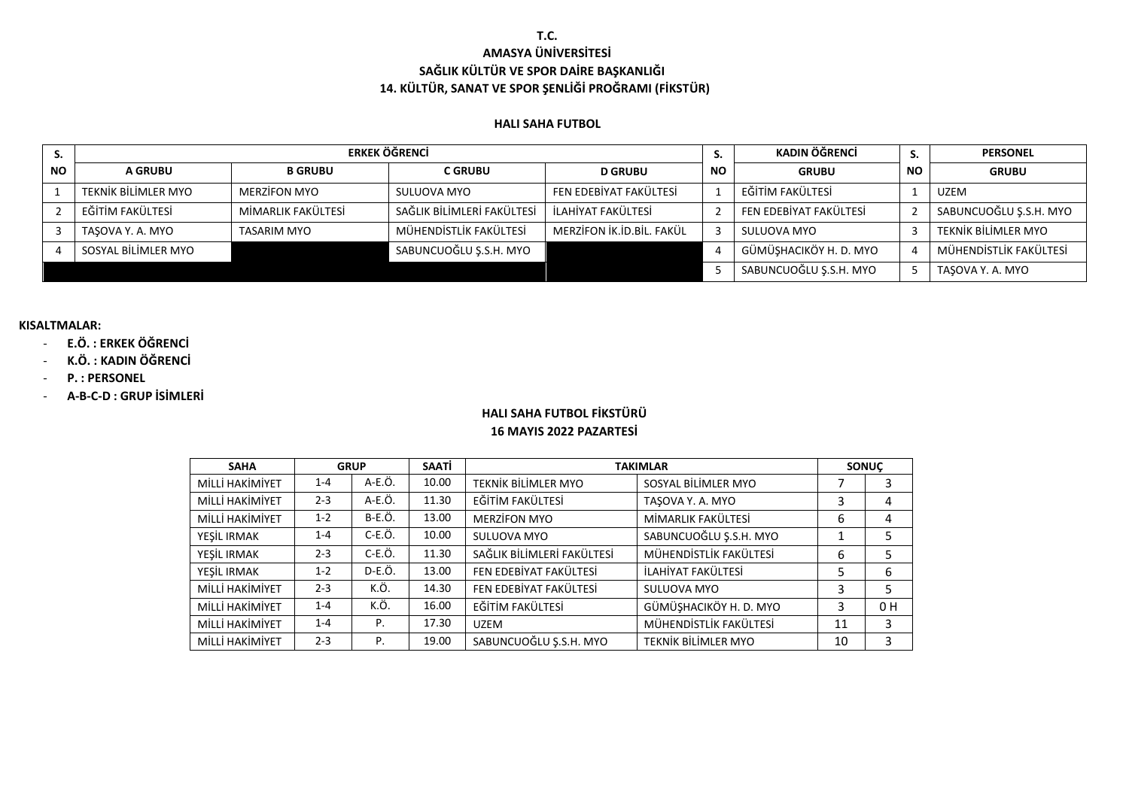### **T.C. AMASYA ÜNİVERSİTESİ SAĞLIK KÜLTÜR VE SPOR DAİRE BAŞKANLIĞI 14. KÜLTÜR, SANAT VE SPOR ŞENLİĞİ PROĞRAMI (FİKSTÜR)**

#### **HALI SAHA FUTBOL**

|           |                     | <b>ERKEK ÖĞRENCİ</b> |                            | KADIN ÖĞRENCİ             | S.        | <b>PERSONEL</b>        |           |                        |
|-----------|---------------------|----------------------|----------------------------|---------------------------|-----------|------------------------|-----------|------------------------|
| <b>NO</b> | <b>A GRUBU</b>      | <b>B GRUBU</b>       | <b>C GRUBU</b>             | <b>D GRUBU</b>            | <b>NO</b> | <b>GRUBU</b>           | <b>NO</b> | <b>GRUBU</b>           |
|           | TEKNİK BİLİMLER MYO | MERZÍFON MYO         | SULUOVA MYO                | FEN EDEBİYAT FAKÜLTESİ    |           | EĞİTİM FAKÜLTESİ       |           | <b>UZEM</b>            |
|           | EĞİTİM FAKÜLTESİ    | MİMARLIK FAKÜLTESİ   | SAĞLIK BİLİMLERİ FAKÜLTESİ | İLAHİYAT FAKÜLTESİ        |           | FEN EDEBİYAT FAKÜLTESİ |           | SABUNCUOĞLU Ş.S.H. MYO |
|           | TASOVA Y. A. MYO    | TASARIM MYO          | MÜHENDİSTLİK FAKÜLTESİ     | MERZİFON İK.İD.BİL. FAKÜL |           | SULUOVA MYO            |           | TEKNİK BİLİMLER MYO    |
|           | SOSYAL BİLİMLER MYO |                      | SABUNCUOĞLU Ş.S.H. MYO     |                           |           | GÜMÜŞHACIKÖY H. D. MYO |           | MÜHENDİSTLİK FAKÜLTESİ |
|           |                     |                      |                            |                           |           | SABUNCUOĞLU Ş.S.H. MYO |           | TASOVA Y. A. MYO       |

#### **KISALTMALAR:**

### - **E.Ö. : ERKEK ÖĞRENCİ**

- **K.Ö. : KADIN ÖĞRENCİ**
- **P. : PERSONEL**
- **A-B-C-D : GRUP İSİMLERİ**

## **HALI SAHA FUTBOL FİKSTÜRÜ 16 MAYIS 2022 PAZARTESİ**

| <b>SAHA</b>     |         | <b>GRUP</b> | SAATİ |                            | <b>TAKIMLAR</b>            |    | <b>SONUC</b>   |
|-----------------|---------|-------------|-------|----------------------------|----------------------------|----|----------------|
| MİLLİ HAKİMİYET | $1 - 4$ | A-E.Ö.      | 10.00 | TEKNİK BİLİMLER MYO        | SOSYAL BİLİMLER MYO        |    | 3              |
| MİLLİ HAKİMİYET | $2 - 3$ | A-E.Ö.      | 11.30 | EĞİTİM FAKÜLTESİ           | TASOVA Y. A. MYO           | 3  | 4              |
| MİLLİ HAKİMİYET | $1 - 2$ | $B-E.Ö.$    | 13.00 | <b>MERZIFON MYO</b>        | MİMARLIK FAKÜLTESİ         | 6  | 4              |
| YESİL IRMAK     | $1 - 4$ | $C-E.O.$    | 10.00 | SULUOVA MYO                | SABUNCUOĞLU Ş.S.H. MYO     |    | 5              |
| YESİL IRMAK     | $2 - 3$ | C-E.Ö.      | 11.30 | SAĞLIK BİLİMLERİ FAKÜLTESİ | MÜHENDİSTLİK FAKÜLTESİ     | 6  | 5              |
| YESİL IRMAK     | $1 - 2$ | D-E.Ö.      | 13.00 | FEN EDEBİYAT FAKÜLTESİ     | İLAHİYAT FAKÜLTESİ         | 5  | 6              |
| MİLLİ HAKİMİYET | $2 - 3$ | K.Ö.        | 14.30 | FEN EDEBİYAT FAKÜLTESİ     | SULUOVA MYO                | 3  | 5              |
| MİLLİ HAKİMİYET | $1 - 4$ | K.Ö.        | 16.00 | EĞİTİM FAKÜLTESİ           | GÜMÜŞHACIKÖY H. D. MYO     | 3  | 0 <sub>H</sub> |
| MİLLİ HAKİMİYET | $1 - 4$ | P.          | 17.30 | <b>UZEM</b>                | MÜHENDİSTLİK FAKÜLTESİ     | 11 | 3              |
| MİLLİ HAKİMİYET | $2 - 3$ | Ρ.          | 19.00 | SABUNCUOĞLU Ş.S.H. MYO     | <b>TEKNİK BİLİMLER MYO</b> | 10 | 3              |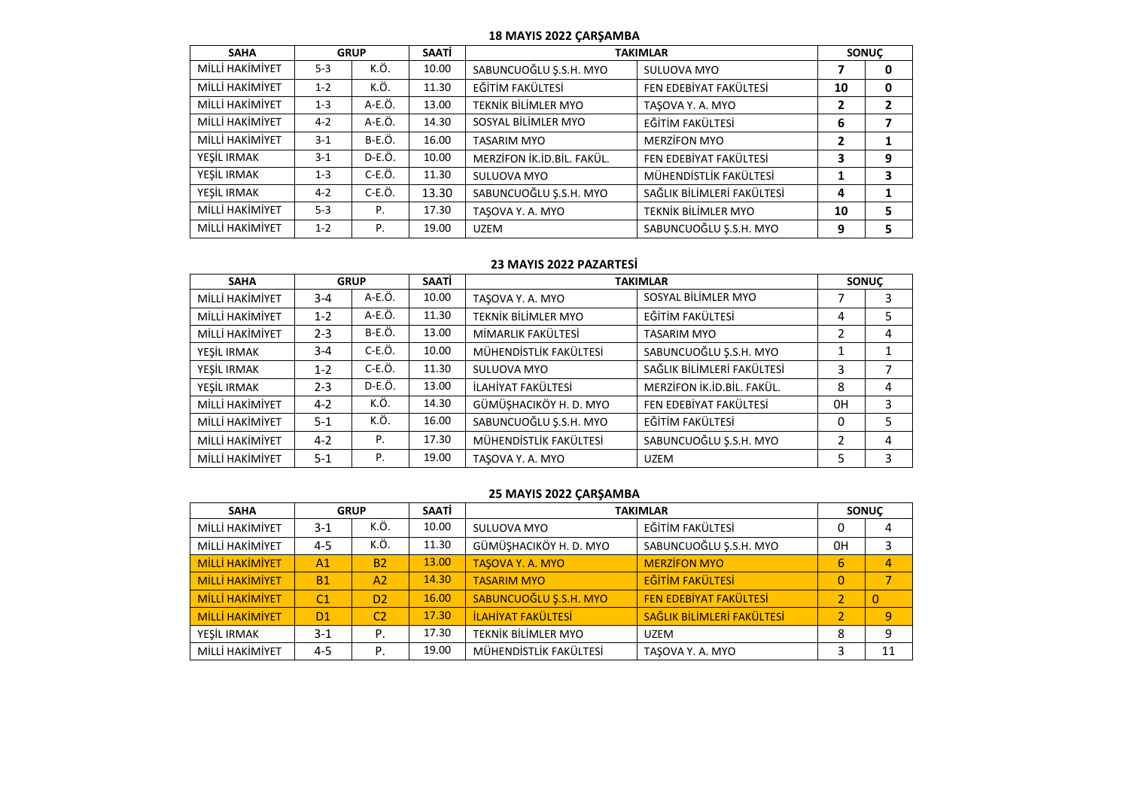#### **18 MAYIS 2022 ÇARŞAMBA**

| <b>SAHA</b>     |         | <b>GRUP</b>   | SAATİ |                            | <b>TAKIMLAR</b>            |                | <b>SONUC</b> |
|-----------------|---------|---------------|-------|----------------------------|----------------------------|----------------|--------------|
| MİLLİ HAKİMİYET | $5-3$   | K.Ö.          | 10.00 | SABUNCUOĞLU Ş.S.H. MYO     | SULUOVA MYO                |                | 0            |
| MİLLİ HAKİMİYET | $1 - 2$ | K.Ö.          | 11.30 | EĞİTİM FAKÜLTESİ           | FEN EDEBİYAT FAKÜLTESİ     | 10             | 0            |
| MİLLİ HAKİMİYET | $1 - 3$ | A-E.Ö.        | 13.00 | TEKNİK BİLİMLER MYO        | TASOVA Y. A. MYO           | $\mathbf{2}$   |              |
| MİLLİ HAKİMİYET | $4 - 2$ | A-E.Ö.        | 14.30 | SOSYAL BİLİMLER MYO        | EĞİTİM FAKÜLTESİ           | 6              |              |
| MİLLİ HAKİMİYET | $3 - 1$ | <b>B-E.Ö.</b> | 16.00 | <b>TASARIM MYO</b>         | <b>MERZIFON MYO</b>        | $\overline{2}$ |              |
| YESİL IRMAK     | $3 - 1$ | D-E.Ö.        | 10.00 | MERZİFON İK.İD.BİL. FAKÜL. | FEN EDEBİYAT FAKÜLTESİ     | 3              | 9            |
| YESİL IRMAK     | $1 - 3$ | $C-E.Ö.$      | 11.30 | SULUOVA MYO                | MÜHENDİSTLİK FAKÜLTESİ     |                | 3            |
| YEŞİL IRMAK     | $4 - 2$ | C-E.Ö.        | 13.30 | SABUNCUOĞLU Ş.S.H. MYO     | SAĞLIK BİLİMLERİ FAKÜLTESİ | 4              |              |
| MİLLİ HAKİMİYET | $5 - 3$ | P.            | 17.30 | TASOVA Y. A. MYO           | TEKNİK BİLİMLER MYO        | 10             | 5            |
| MİLLİ HAKİMİYET | $1 - 2$ | P.            | 19.00 | UZEM                       | SABUNCUOĞLU Ş.S.H. MYO     | 9              | 5            |

#### **23 MAYIS 2022 PAZARTESİ**

| <b>SAHA</b>     |         | <b>GRUP</b>   | <b>SAATI</b> |                            | <b>TAKIMLAR</b>            |    | <b>SONUC</b> |
|-----------------|---------|---------------|--------------|----------------------------|----------------------------|----|--------------|
| MİLLİ HAKİMİYET | $3 - 4$ | A-E.Ö.        | 10.00        | TASOVA Y. A. MYO           | SOSYAL BİLİMLER MYO        |    | 3            |
| MİLLİ HAKİMİYET | $1 - 2$ | A-E.Ö.        | 11.30        | <b>TEKNİK BİLİMLER MYO</b> | EĞİTİM FAKÜLTESİ           | 4  | 5            |
| MİLLİ HAKİMİYET | $2 - 3$ | <b>B-E.Ö.</b> | 13.00        | MİMARLIK FAKÜLTESİ         | <b>TASARIM MYO</b>         |    | 4            |
| YEŞİL IRMAK     | $3 - 4$ | $C-E.Ö.$      | 10.00        | MÜHENDİSTLİK FAKÜLTESİ     | SABUNCUOĞLU Ş.S.H. MYO     |    |              |
| YESİL IRMAK     | $1-2$   | $C-E.Ö.$      | 11.30        | SULUOVA MYO                | SAĞLIK BİLİMLERİ FAKÜLTESİ | 3  | 7            |
| YEŞİL IRMAK     | $2 - 3$ | D-E.Ö.        | 13.00        | İLAHİYAT FAKÜLTESİ         | MERZİFON İK.İD.BİL. FAKÜL. | 8  | 4            |
| MİLLİ HAKİMİYET | $4 - 2$ | K.Ö.          | 14.30        | GÜMÜŞHACIKÖY H. D. MYO     | FEN EDEBİYAT FAKÜLTESİ     | 0H | 3            |
| MİLLİ HAKİMİYET | $5-1$   | K.Ö.          | 16.00        | SABUNCUOĞLU Ş.S.H. MYO     | EĞİTİM FAKÜLTESİ           | 0  | 5            |
| MİLLİ HAKİMİYET | $4 - 2$ | Ρ.            | 17.30        | MÜHENDİSTLİK FAKÜLTESİ     | SABUNCUOĞLU Ş.S.H. MYO     | 2  | 4            |
| MİLLİ HAKİMİYET | $5-1$   | Ρ.            | 19.00        | TASOVA Y. A. MYO           | <b>UZEM</b>                | 5  | 3            |

### **25 MAYIS 2022 ÇARŞAMBA**

| <b>SAHA</b>            |                | <b>GRUP</b>    | SAATİ |                           | <b>TAKIMLAR</b>            |                | <b>SONUC</b> |
|------------------------|----------------|----------------|-------|---------------------------|----------------------------|----------------|--------------|
| MİLLİ HAKİMİYET        | $3-1$          | K.Ö.           | 10.00 | SULUOVA MYO               | EĞİTİM FAKÜLTESİ           | 0              |              |
| MİLLİ HAKİMİYET        | $4 - 5$        | K.Ö.           | 11.30 | GÜMÜŞHACIKÖY H. D. MYO    | SABUNCUOĞLU Ş.S.H. MYO     | 0H             |              |
| <b>MİLLİ HAKİMİYET</b> | A1             | <b>B2</b>      | 13.00 | <b>TASOVA Y. A. MYO</b>   | <b>MERZIFON MYO</b>        | 6              |              |
| <b>MİLLİ HAKİMİYET</b> | <b>B1</b>      | A2             | 14.30 | <b>TASARIM MYO</b>        | <b>EĞİTİM FAKÜLTESİ</b>    | 0              |              |
| <b>MİLLİ HAKİMİYET</b> | C <sub>1</sub> | D <sub>2</sub> | 16.00 | SABUNCUOĞLU Ş.S.H. MYO    | FEN EDEBİYAT FAKÜLTESİ     |                |              |
| <b>MİLLİ HAKİMİYET</b> | D <sub>1</sub> | C <sub>2</sub> | 17.30 | <b>İLAHİYAT FAKÜLTESİ</b> | SAĞLIK BİLİMLERİ FAKÜLTESİ | $\overline{2}$ | 9            |
| YEŞİL IRMAK            | $3-1$          | Ρ.             | 17.30 | TEKNİK BİLİMLER MYO       | UZEM                       | 8              | q            |
| MİLLİ HAKİMİYET        | $4 - 5$        | P.             | 19.00 | MÜHENDİSTLİK FAKÜLTESİ    | TASOVA Y. A. MYO           |                |              |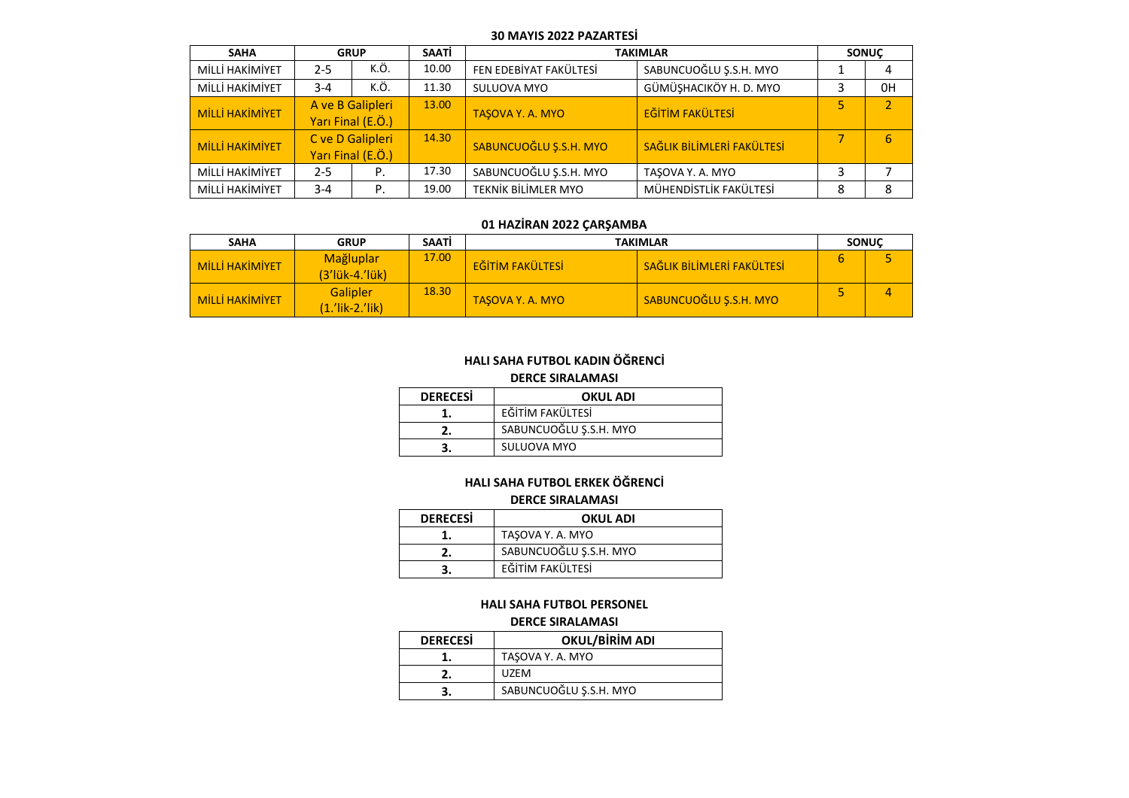#### **30 MAYIS 2022 PAZARTESİ**

| <b>SAHA</b>            |         | <b>GRUP</b>                           | <b>SAATI</b> |                            | <b>TAKIMLAR</b>            |   | <b>SONUC</b> |
|------------------------|---------|---------------------------------------|--------------|----------------------------|----------------------------|---|--------------|
| MİLLİ HAKİMİYET        | $2 - 5$ | K.Ö.                                  | 10.00        | FEN EDEBİYAT FAKÜLTESİ     | SABUNCUOĞLU Ş.S.H. MYO     |   |              |
| MİLLİ HAKİMİYET        | $3 - 4$ | K.Ö.                                  | 11.30        | SULUOVA MYO                | GÜMÜŞHACIKÖY H. D. MYO     |   | 0H           |
| <b>MİLLİ HAKİMİYET</b> |         | A ve B Galipleri<br>Yarı Final (E.Ö.) | 13.00        | <b>TASOVA Y. A. MYO</b>    | <b>EĞİTİM FAKÜLTESİ</b>    | 5 |              |
| <b>MİLLİ HAKİMİYET</b> |         | C ve D Galipleri<br>Yarı Final (E.Ö.) | 14.30        | SABUNCUOĞLU Ş.S.H. MYO     | SAĞLIK BİLİMLERİ FAKÜLTESİ |   | 6            |
| MİLLİ HAKİMİYET        | $2 - 5$ | Ρ.                                    | 17.30        | SABUNCUOĞLU Ş.S.H. MYO     | TASOVA Y. A. MYO           | 3 |              |
| MİLLİ HAKİMİYET        | $3 - 4$ | Ρ.                                    | 19.00        | <b>TEKNİK BİLİMLER MYO</b> | MÜHENDİSTLİK FAKÜLTESİ     | 8 |              |

### **01 HAZİRAN 2022 ÇARŞAMBA**

| <b>SAHA</b>            | <b>GRUP</b>                           | SAATI | <b>TAKIMLAR</b>         |                            |  | <b>SONUC</b> |
|------------------------|---------------------------------------|-------|-------------------------|----------------------------|--|--------------|
| <b>MİLLİ HAKİMİYET</b> | <b>Mağluplar</b><br>$(3' ük-4' ük)$   | 17.00 | <b>EĞİTİM FAKÜLTESİ</b> | SAĞLIK BİLİMLERİ FAKÜLTESİ |  |              |
| <b>MİLLİ HAKİMİYET</b> | <b>Galipler</b><br>$(1.'$ lik-2.'lik) | 18.30 | <b>TASOVA Y. A. MYO</b> | SABUNCUOĞLU Ş.S.H. MYO     |  |              |

### **HALI SAHA FUTBOL KADIN ÖĞRENCİ**

**DERCE SIRALAMASI**

| <b>DERECESI</b> | <b>OKUL ADI</b>        |
|-----------------|------------------------|
|                 | EĞİTİM FAKÜLTESİ       |
|                 | SABUNCUOĞLU Ş.S.H. MYO |
|                 | SULUOVA MYO            |

### **HALI SAHA FUTBOL ERKEK ÖĞRENCİ DERCE SIRALAMASI**

| <b>DERECESi</b> | <b>OKUL ADI</b>        |
|-----------------|------------------------|
|                 | TASOVA Y. A. MYO       |
|                 | SABUNCUOĞLU Ş.S.H. MYO |
|                 | EĞİTİM FAKÜLTESİ       |

### **HALI SAHA FUTBOL PERSONEL DERCE SIRALAMASI**

| <b>DERECESI</b> | <b>OKUL/BIRIM ADI</b>  |
|-----------------|------------------------|
|                 | TASOVA Y. A. MYO       |
|                 | UZFM                   |
|                 | SABUNCUOĞLU Ş.S.H. MYO |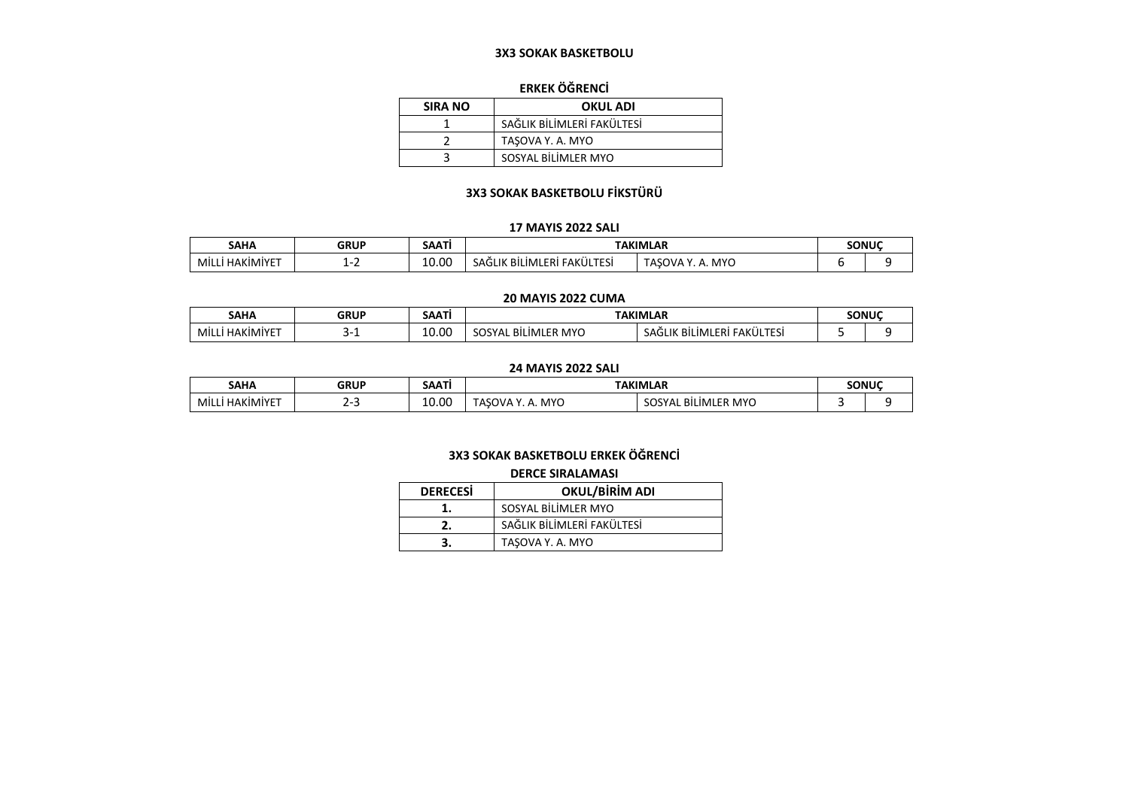#### **3X3 SOKAK BASKETBOLU**

### **ERKEK ÖĞRENCİ**

| <b>SIRA NO</b> | <b>OKUL ADI</b>            |
|----------------|----------------------------|
|                | SAĞLIK BİLİMLERİ FAKÜLTESİ |
|                | TASOVA Y. A. MYO           |
|                | SOSYAL BİLİMLER MYO        |

### **3X3 SOKAK BASKETBOLU FİKSTÜRÜ**

#### **17 MAYIS 2022 SALI**

|                          |             | SAATI                    |                                                                     |                                                                      |  |       |
|--------------------------|-------------|--------------------------|---------------------------------------------------------------------|----------------------------------------------------------------------|--|-------|
| <b>SAHA</b>              | <b>GRUP</b> | .                        | <b>TAKIMLAR</b>                                                     |                                                                      |  | SONUC |
| <b>HAKIMIYET</b><br>MIL. |             | 10.00<br>$\sim$<br>- - - | $\cdots$<br><b>FAKÜLTESİ</b><br>ERI.<br><b>BİLİML</b><br>.IK<br>AF. | $\sqrt{11}$<br>$\bigcap V\Delta$ .<br><b>FASO\</b><br>IVI Y U<br>. . |  |       |

#### **20 MAYIS 2022 CUMA**

| SAHA                      | 3RHD<br>. אחרי | $\sim$<br>SAAII | <b>TAKIMLAR</b>                            |                                                    | SONUC |  |
|---------------------------|----------------|-----------------|--------------------------------------------|----------------------------------------------------|-------|--|
| <b>HAKIMIYE</b><br>' Mill | ــ             | 10.00           | <b>MYC</b><br>FR<br>$\sim$<br>.IMI<br>. ור | FAKÜLTESİ<br>ш.<br>. FRL.<br>D II.<br>BILIML<br>SА |       |  |

#### **24 MAYIS 2022 SALI**

| <b>SAHA</b>        | <b>GRUF</b> | :ΔΔΤ<br>JAM | <b>TAKIMI AR</b>                                  |                                | <b>SONITC</b> |  |
|--------------------|-------------|-------------|---------------------------------------------------|--------------------------------|---------------|--|
| , ΗΑΚΙΜΙΥΕΤ<br>MIL | $\sim$      | 10.00       | MY <sup>r</sup><br>יי<br>$^{\prime}$<br><b>AN</b> | $\Lambda$ MYC.<br>.IMIL<br>5U. |               |  |

### **3X3 SOKAK BASKETBOLU ERKEK ÖĞRENCİ**

#### **DERCE SIRALAMASI**

| <b>DERECESI</b> | <b>OKUL/BİRİM ADI</b>      |  |  |
|-----------------|----------------------------|--|--|
|                 | SOSYAL BİLİMLER MYO        |  |  |
|                 | SAĞLIK BİLİMLERİ FAKÜLTESİ |  |  |
|                 | TASOVA Y. A. MYO           |  |  |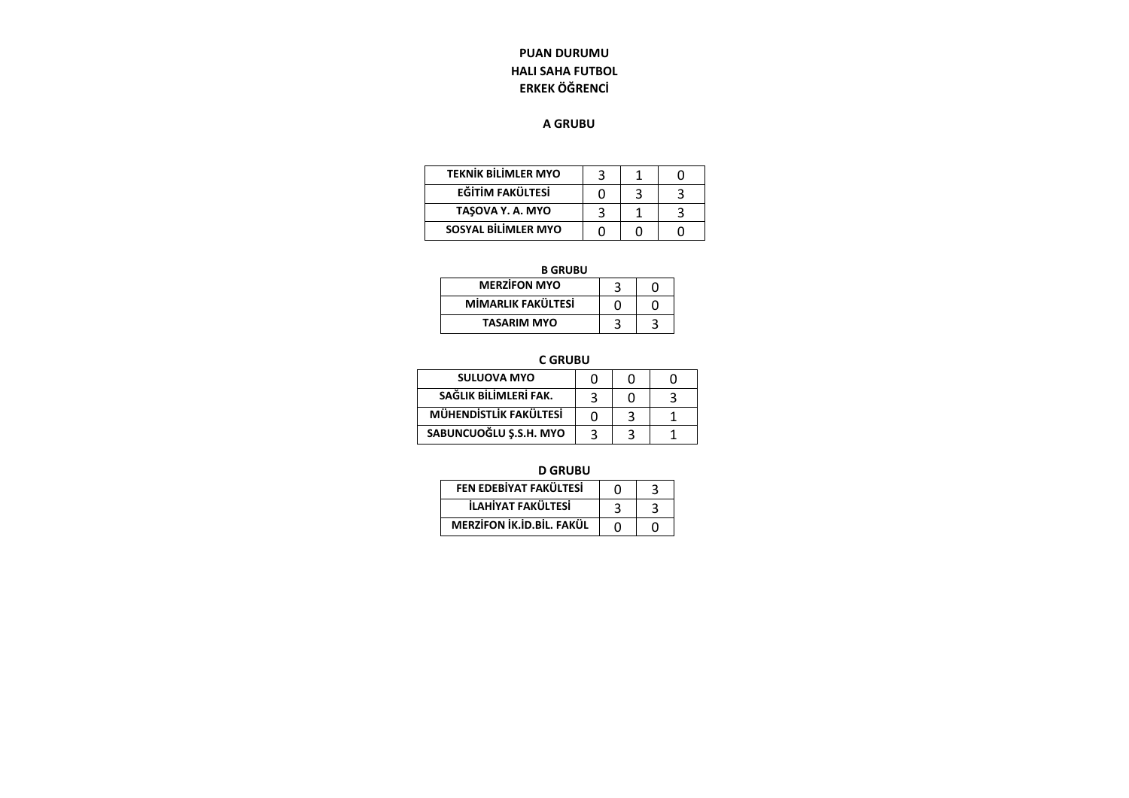## **PUAN DURUMU HALI SAHA FUTBOL ERKEK ÖĞRENCİ**

### **A GRUBU**

| <b>TEKNİK BİLİMLER MYO</b> |  |  |
|----------------------------|--|--|
| <b>EĞİTİM FAKÜLTESİ</b>    |  |  |
| TASOVA Y. A. MYO           |  |  |
| <b>SOSYAL BİLİMLER MYO</b> |  |  |

**B GRUBU**

| <b>MERZIFON MYO</b> |  |
|---------------------|--|
| MİMARLIK FAKÜLTESİ  |  |
| <b>TASARIM MYO</b>  |  |

 **C GRUBU**

| <b>SULUOVA MYO</b>     | ი | n |  |
|------------------------|---|---|--|
| SAĞLIK BİLİMLERİ FAK.  |   | O |  |
| MÜHENDİSTLİK FAKÜLTESİ | ი |   |  |
| SABUNCUOĞLU Ş.S.H. MYO |   |   |  |

**D GRUBU**

| FEN EDEBİYAT FAKÜLTESİ    |  |
|---------------------------|--|
| İLAHİYAT FAKÜLTESİ        |  |
| MERZİFON İK.İD.BİL. FAKÜL |  |